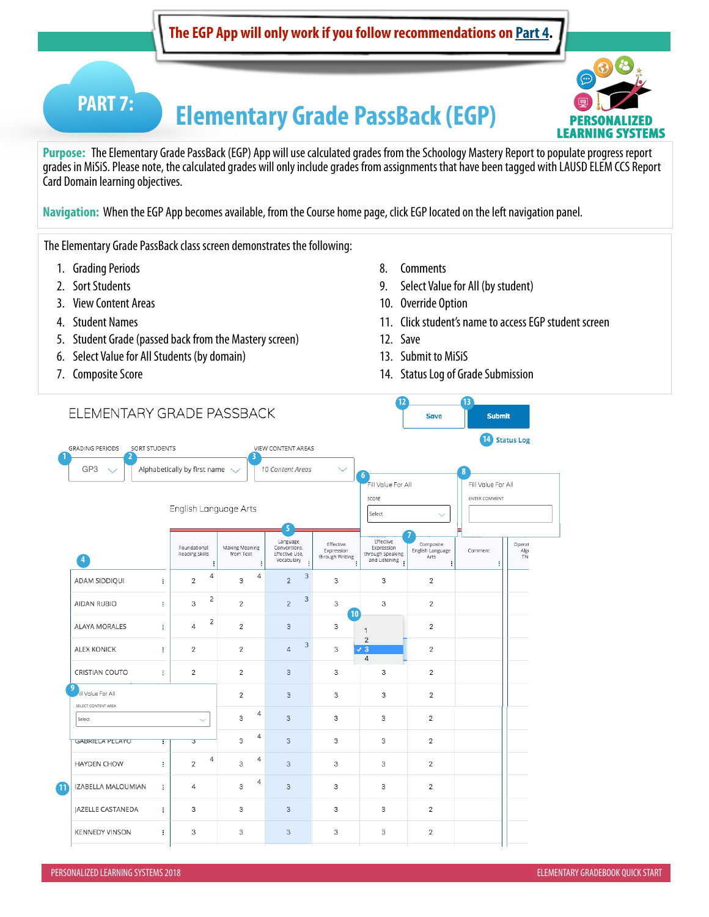# **Elementary Grade PassBack (EGP) PART 7:**



**Purpose:** The Elementary Grade PassBack (EGP) App will use calculated grades from the Schoology Mastery Report to populate progress report grades in MiSiS. Please note, the calculated grades will only include grades from assignments that have been tagged with LAUSD ELEM CCS Report Card Domain learning objectives.

**Navigation:** When the EGP App becomes available, from the Course home page, click EGP located on the left navigation panel.

The Elementary Grade PassBack class screen demonstrates the following:

- 1. Grading Periods
- 2. Sort Students
- 3. View Content Areas
- 4. Student Names
- 5. Student Grade (passed back from the Mastery screen)
- 6. Select Value for All Students (by domain)
- 7. Composite Score
- 8. Comments
- 9. Select Value for All (by student)
- 10. Override Option
- 11. Click student's name to access EGP student screen
- 12. Save
- 13. Submit to MiSiS
- 14. Status Log of Grade Submission